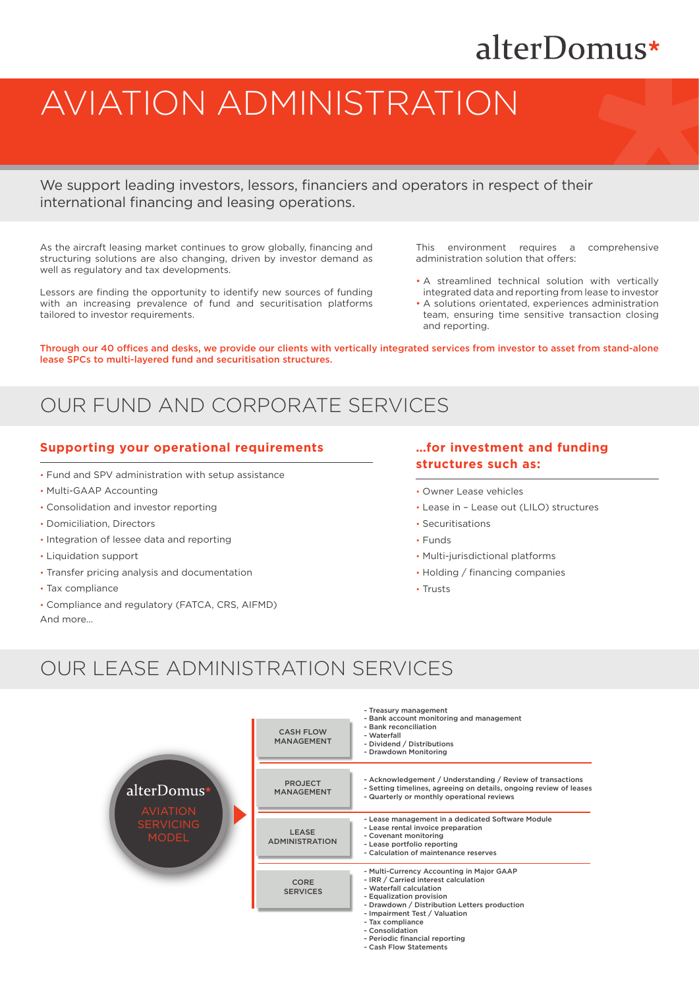# alterDomus\*

# AVIATION ADMINISTRATION

We support leading investors, lessors, financiers and operators in respect of their international financing and leasing operations.

As the aircraft leasing market continues to grow globally, financing and structuring solutions are also changing, driven by investor demand as well as regulatory and tax developments.

Lessors are finding the opportunity to identify new sources of funding with an increasing prevalence of fund and securitisation platforms tailored to investor requirements.

This environment requires a comprehensive administration solution that offers:

- A streamlined technical solution with vertically integrated data and reporting from lease to investor
- A solutions orientated, experiences administration team, ensuring time sensitive transaction closing and reporting.

Through our 40 offices and desks, we provide our clients with vertically integrated services from investor to asset from stand-alone lease SPCs to multi-layered fund and securitisation structures.

## OUR FUND AND CORPORATE SERVICES

#### **Supporting your operational requirements**

- Fund and SPV administration with setup assistance
- Multi-GAAP Accounting
- Consolidation and investor reporting
- Domiciliation, Directors
- Integration of lessee data and reporting
- Liquidation support
- Transfer pricing analysis and documentation
- Tax compliance
- Compliance and regulatory (FATCA, CRS, AIFMD) And more...

#### **…for investment and funding structures such as:**

- Owner Lease vehicles
- Lease in Lease out (LILO) structures
- Securitisations
- Funds
- Multi-jurisdictional platforms
- Holding / financing companies
- Trusts

# OUR LEASE ADMINISTRATION SERVICES

| alterDomus*<br><b>AVIATION</b><br><b>SERVICING</b><br><b>MODEL</b> | <b>CASH FLOW</b><br><b>MANAGEMENT</b> | - Treasury management<br>- Bank account monitoring and management<br>- Bank reconciliation<br>- Waterfall<br>- Dividend / Distributions<br>- Drawdown Monitoring                                                                                                                                                             |
|--------------------------------------------------------------------|---------------------------------------|------------------------------------------------------------------------------------------------------------------------------------------------------------------------------------------------------------------------------------------------------------------------------------------------------------------------------|
|                                                                    | <b>PROJECT</b><br><b>MANAGEMENT</b>   | - Acknowledgement / Understanding / Review of transactions<br>- Setting timelines, agreeing on details, ongoing review of leases<br>- Quarterly or monthly operational reviews                                                                                                                                               |
|                                                                    | <b>LEASE</b><br><b>ADMINISTRATION</b> | - Lease management in a dedicated Software Module<br>- Lease rental invoice preparation<br>- Covenant monitoring<br>- Lease portfolio reporting<br>- Calculation of maintenance reserves                                                                                                                                     |
|                                                                    | <b>CORE</b><br><b>SERVICES</b>        | - Multi-Currency Accounting in Major GAAP<br>- IRR / Carried interest calculation<br>- Waterfall calculation<br>- Equalization provision<br>- Drawdown / Distribution Letters production<br>- Impairment Test / Valuation<br>- Tax compliance<br>- Consolidation<br>- Periodic financial reporting<br>- Cash Flow Statements |
|                                                                    |                                       |                                                                                                                                                                                                                                                                                                                              |